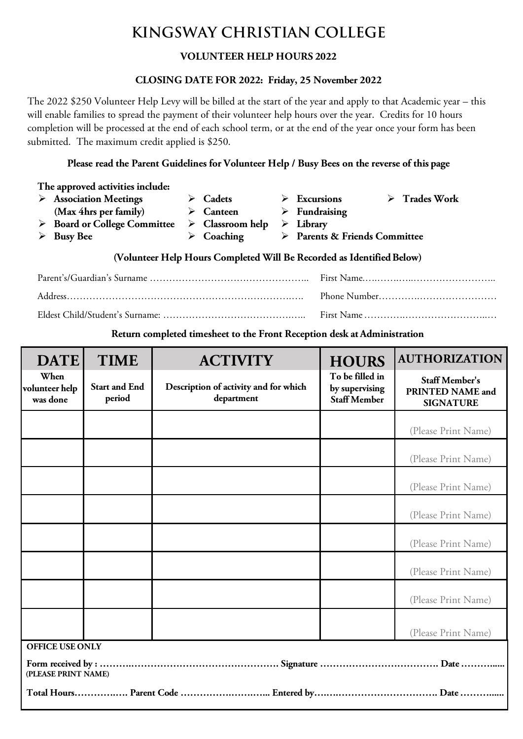## **KINGSWAY CHRISTIAN COLLEGE**

## **VOLUNTEER HELP HOURS 2022**

#### **CLOSING DATE FOR 2022: Friday, 25 November 2022**

The 2022 \$250 Volunteer Help Levy will be billed at the start of the year and apply to that Academic year – this will enable families to spread the payment of their volunteer help hours over the year. Credits for 10 hours completion will be processed at the end of each school term, or at the end of the year once your form has been submitted. The maximum credit applied is \$250.

#### **Please read the Parent Guidelines for Volunteer Help / Busy Bees on the reverse of this page**

| The approved activities include:                                      |                                             |  |                                 |   |                                                   |  |  |  |  |  |
|-----------------------------------------------------------------------|---------------------------------------------|--|---------------------------------|---|---------------------------------------------------|--|--|--|--|--|
|                                                                       | $\triangleright$ Association Meetings       |  | $\triangleright$ Cadets         | ➤ | $\triangleright$ Trades Work<br><b>Excursions</b> |  |  |  |  |  |
|                                                                       | (Max 4hrs per family)                       |  | $\triangleright$ Canteen        |   | $\triangleright$ Fundraising                      |  |  |  |  |  |
|                                                                       | $\triangleright$ Board or College Committee |  | $\triangleright$ Classroom help |   | $\triangleright$ Library                          |  |  |  |  |  |
|                                                                       | <b>Busy Bee</b>                             |  | $\triangleright$ Coaching       |   | > Parents & Friends Committee                     |  |  |  |  |  |
| (Volunteer Help Hours Completed Will Be Recorded as Identified Below) |                                             |  |                                 |   |                                                   |  |  |  |  |  |

**Return completed timesheet to the Front Reception desk at Administration**

| <b>DATE</b>                                   | <b>TIME</b>                    | <b>ACTIVITY</b>                                     | <b>HOURS</b>                                             | <b>AUTHORIZATION</b>                                          |
|-----------------------------------------------|--------------------------------|-----------------------------------------------------|----------------------------------------------------------|---------------------------------------------------------------|
| When<br>volunteer help<br>was done            | <b>Start and End</b><br>period | Description of activity and for which<br>department | To be filled in<br>by supervising<br><b>Staff Member</b> | <b>Staff Member's</b><br>PRINTED NAME and<br><b>SIGNATURE</b> |
|                                               |                                |                                                     |                                                          | (Please Print Name)                                           |
|                                               |                                |                                                     |                                                          | (Please Print Name)                                           |
|                                               |                                |                                                     |                                                          | (Please Print Name)                                           |
|                                               |                                |                                                     |                                                          | (Please Print Name)                                           |
|                                               |                                |                                                     |                                                          | (Please Print Name)                                           |
|                                               |                                |                                                     |                                                          | (Please Print Name)                                           |
|                                               |                                |                                                     |                                                          | (Please Print Name)                                           |
|                                               |                                |                                                     |                                                          | (Please Print Name)                                           |
| <b>OFFICE USE ONLY</b><br>(PLEASE PRINT NAME) |                                |                                                     |                                                          |                                                               |